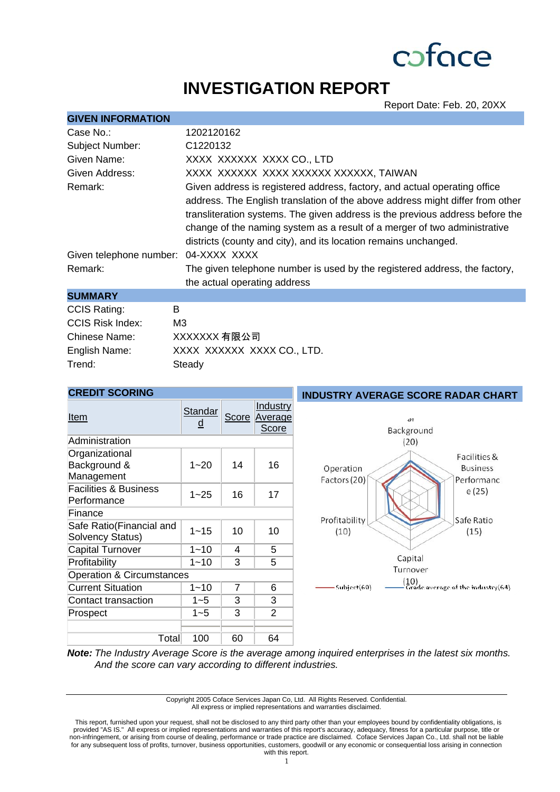### **INVESTIGATION REPORT**

Report Date: Feb. 20, 20XX

| <b>GIVEN INFORMATION</b> |                                                                                                                                                                                                                                                                                                                                                                                              |
|--------------------------|----------------------------------------------------------------------------------------------------------------------------------------------------------------------------------------------------------------------------------------------------------------------------------------------------------------------------------------------------------------------------------------------|
| Case No.:                | 1202120162                                                                                                                                                                                                                                                                                                                                                                                   |
| Subject Number:          | C <sub>1220132</sub>                                                                                                                                                                                                                                                                                                                                                                         |
| Given Name:              | XXXX XXXXXX XXXX CO., LTD                                                                                                                                                                                                                                                                                                                                                                    |
| Given Address:           | XXXX XXXXXX XXXX XXXXXX XXXXXX, TAIWAN                                                                                                                                                                                                                                                                                                                                                       |
| Remark:                  | Given address is registered address, factory, and actual operating office<br>address. The English translation of the above address might differ from other<br>transliteration systems. The given address is the previous address before the<br>change of the naming system as a result of a merger of two administrative<br>districts (county and city), and its location remains unchanged. |
| Given telephone number:  | 04-XXXX XXXX                                                                                                                                                                                                                                                                                                                                                                                 |
| Remark:                  | The given telephone number is used by the registered address, the factory,<br>the actual operating address                                                                                                                                                                                                                                                                                   |
| <b>SUMMARY</b>           |                                                                                                                                                                                                                                                                                                                                                                                              |
| <b>CCIS Rating:</b>      | B                                                                                                                                                                                                                                                                                                                                                                                            |
| <b>CCIS Risk Index:</b>  | MЗ                                                                                                                                                                                                                                                                                                                                                                                           |
| Chinese Name:            | XXXXXXX 有限公司                                                                                                                                                                                                                                                                                                                                                                                 |
| English Name:            | XXXX XXXXXX XXXX CO., LTD.                                                                                                                                                                                                                                                                                                                                                                   |

| <b>CREDIT SCORING</b>                               |                                                 |                |                                     | <b>INDUSTRY AVERAGE SCORE RADAR CHART</b>                                  |  |  |
|-----------------------------------------------------|-------------------------------------------------|----------------|-------------------------------------|----------------------------------------------------------------------------|--|--|
| <b>Item</b>                                         | Standar<br>$\underline{\underline{\mathsf{d}}}$ | Score          | Industry<br><b>Average</b><br>Score | di<br>Background                                                           |  |  |
| Administration                                      |                                                 |                |                                     | (20)                                                                       |  |  |
| Organizational<br>Background &<br>Management        | $1 - 20$                                        | 14             | 16                                  | Facilities &<br>Operation<br><b>Business</b><br>Factors (20)<br>Performanc |  |  |
| <b>Facilities &amp; Business</b><br>Performance     | $1 - 25$                                        | 16             | 17                                  | e(25)                                                                      |  |  |
| Finance                                             |                                                 |                | Profitability<br>Safe Ratio         |                                                                            |  |  |
| Safe Ratio(Financial and<br><b>Solvency Status)</b> | $1 - 15$                                        | 10             | 10                                  | (15)<br>(10)                                                               |  |  |
| <b>Capital Turnover</b>                             | $1 - 10$                                        | 4              | 5                                   |                                                                            |  |  |
| Profitability                                       | $1 - 10$                                        | 3              | 5                                   | Capital                                                                    |  |  |
| <b>Operation &amp; Circumstances</b>                |                                                 |                |                                     | Turnover<br>(10)                                                           |  |  |
| <b>Current Situation</b>                            | $1 - 10$                                        | $\overline{7}$ | 6                                   | $\bar{\text{Grad}}$ e average of the industry $(64)$<br>Subject(60)        |  |  |
| Contact transaction                                 | $1 - 5$                                         | 3              | 3                                   |                                                                            |  |  |
| Prospect                                            | $1 - 5$                                         | 3              | $\overline{2}$                      |                                                                            |  |  |
|                                                     |                                                 |                |                                     |                                                                            |  |  |
| Total                                               | 100                                             | 60             | 64                                  |                                                                            |  |  |

Trend: Steady

*Note: The Industry Average Score is the average among inquired enterprises in the latest six months. And the score can vary according to different industries.*

> Copyright 2005 Coface Services Japan Co, Ltd. All Rights Reserved. Confidential. All express or implied representations and warranties disclaimed.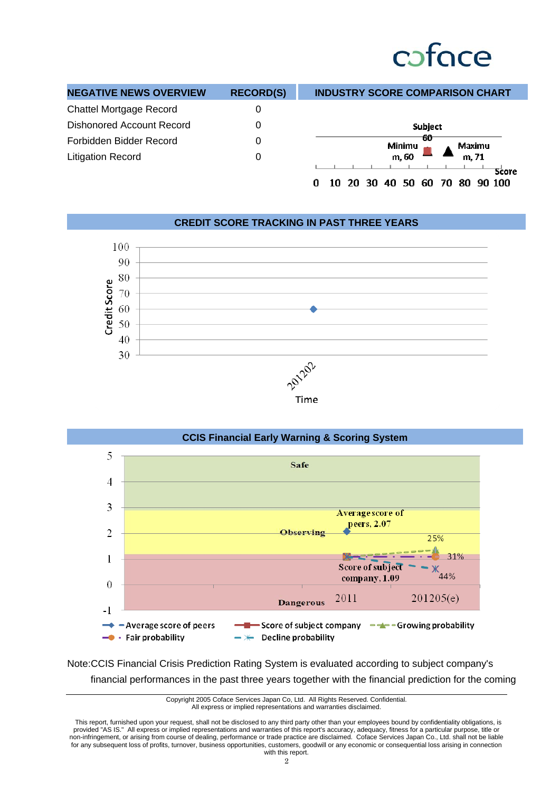| <b>NEGATIVE NEWS OVERVIEW</b>    | <b>RECORD(S)</b> | <b>INDUSTRY SCORE COMPARISON CHART</b>           |
|----------------------------------|------------------|--------------------------------------------------|
| <b>Chattel Mortgage Record</b>   |                  |                                                  |
| <b>Dishonored Account Record</b> |                  | <b>Subject</b>                                   |
| Forbidden Bidder Record          | 0                | 60<br>Minimu<br>Maximu                           |
| <b>Litigation Record</b>         | 0                | m.71<br>m, 60                                    |
|                                  |                  | Score<br><u>በ 10 20 30 40 50 60 70 80 90 100</u> |

#### **CREDIT SCORE TRACKING IN PAST THREE YEARS**





Note:CCIS Financial Crisis Prediction Rating System is evaluated according to subject company's financial performances in the past three years together with the financial prediction for the coming

> Copyright 2005 Coface Services Japan Co, Ltd. All Rights Reserved. Confidential. All express or implied representations and warranties disclaimed.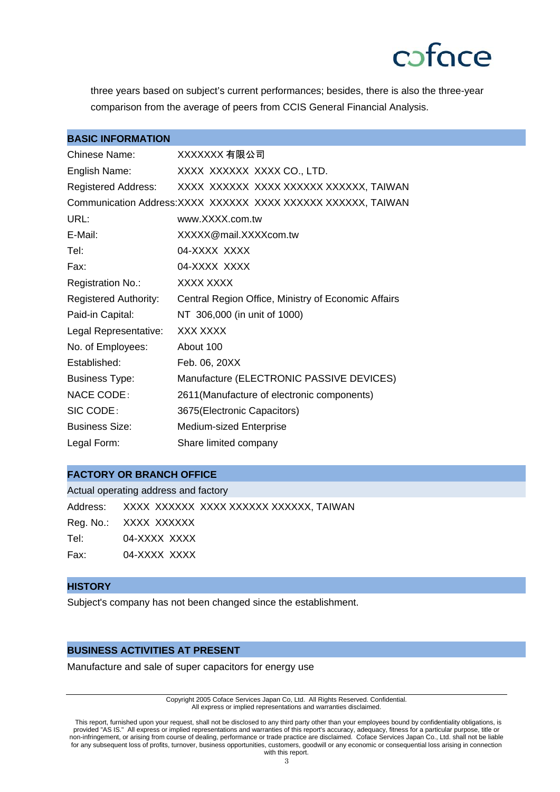

three years based on subject's current performances; besides, there is also the three-year comparison from the average of peers from CCIS General Financial Analysis.

| <b>BASIC INFORMATION</b>     |                                                               |
|------------------------------|---------------------------------------------------------------|
| Chinese Name:                | XXXXXXX 有限公司                                                  |
| English Name:                | XXXX XXXXXX XXXX CO., LTD.                                    |
| Registered Address:          | XXXX XXXXXX XXXX XXXXXX XXXXXX, TAIWAN                        |
|                              | Communication Address: XXXX XXXXXX XXXX XXXXXX XXXXXX, TAIWAN |
| URL:                         | www.XXXX.com.tw                                               |
| E-Mail:                      | XXXXX@mail.XXXXcom.tw                                         |
| Tel:                         | 04-XXXX XXXX                                                  |
| Fax:                         | 04-XXXX XXXX                                                  |
| Registration No.:            | XXXX XXXX                                                     |
| <b>Registered Authority:</b> | Central Region Office, Ministry of Economic Affairs           |
| Paid-in Capital:             | NT 306,000 (in unit of 1000)                                  |
| Legal Representative:        | XXX XXXX                                                      |
| No. of Employees:            | About 100                                                     |
| Established:                 | Feb. 06, 20XX                                                 |
| <b>Business Type:</b>        | Manufacture (ELECTRONIC PASSIVE DEVICES)                      |
| <b>NACE CODE:</b>            | 2611 (Manufacture of electronic components)                   |
| SIC CODE:                    | 3675(Electronic Capacitors)                                   |
| <b>Business Size:</b>        | <b>Medium-sized Enterprise</b>                                |
| Legal Form:                  | Share limited company                                         |

#### **FACTORY OR BRANCH OFFICE**

|      | Actual operating address and factory            |
|------|-------------------------------------------------|
|      | Address: XXXX XXXXXX XXXX XXXXXX XXXXXX, TAIWAN |
|      | Reg. No.: XXXX XXXXXX                           |
| Tel: | 04-XXXX XXXX                                    |
| Fax: | 04-XXXX XXXX                                    |
|      |                                                 |

#### **HISTORY**

Subject's company has not been changed since the establishment.

#### **BUSINESS ACTIVITIES AT PRESENT**

Manufacture and sale of super capacitors for energy use

Copyright 2005 Coface Services Japan Co, Ltd. All Rights Reserved. Confidential. All express or implied representations and warranties disclaimed.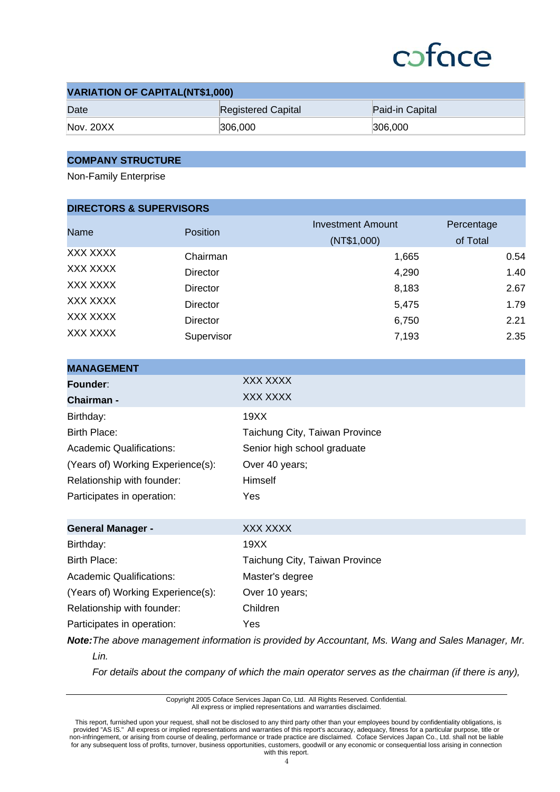| <b>VARIATION OF CAPITAL(NT\$1,000)</b> |                           |                 |  |
|----------------------------------------|---------------------------|-----------------|--|
| Date                                   | <b>Registered Capital</b> | Paid-in Capital |  |
| Nov. 20XX                              | 306,000                   | 306,000         |  |

#### **COMPANY STRUCTURE**

Non-Family Enterprise

| <b>DIRECTORS &amp; SUPERVISORS</b> |                 |                                         |                        |  |
|------------------------------------|-----------------|-----------------------------------------|------------------------|--|
| Name                               | <b>Position</b> | <b>Investment Amount</b><br>(NT\$1,000) | Percentage<br>of Total |  |
| XXX XXXX                           | Chairman        | 1,665                                   | 0.54                   |  |
| XXX XXXX                           | Director        | 4,290                                   | 1.40                   |  |
| XXX XXXX                           | Director        | 8,183                                   | 2.67                   |  |
| XXX XXXX                           | <b>Director</b> | 5,475                                   | 1.79                   |  |
| XXX XXXX                           | <b>Director</b> | 6,750                                   | 2.21                   |  |
| XXX XXXX                           | Supervisor      | 7,193                                   | 2.35                   |  |

| <b>MANAGEMENT</b>                 |                                |
|-----------------------------------|--------------------------------|
| Founder:                          | XXX XXXX                       |
| Chairman -                        | XXX XXXX                       |
| Birthday:                         | 19XX                           |
| Birth Place:                      | Taichung City, Taiwan Province |
| <b>Academic Qualifications:</b>   | Senior high school graduate    |
| (Years of) Working Experience(s): | Over 40 years;                 |
| Relationship with founder:        | Himself                        |
| Participates in operation:        | Yes                            |

| XXX XXXX                       |
|--------------------------------|
| 19XX                           |
| Taichung City, Taiwan Province |
| Master's degree                |
| Over 10 years;                 |
| Children                       |
| Yes                            |
|                                |

*Note: The above management information is provided by Accountant, Ms. Wang and Sales Manager, Mr. Lin.*

*For details about the company of which the main operator serves as the chairman (if there is any),* 

Copyright 2005 Coface Services Japan Co, Ltd. All Rights Reserved. Confidential. All express or implied representations and warranties disclaimed.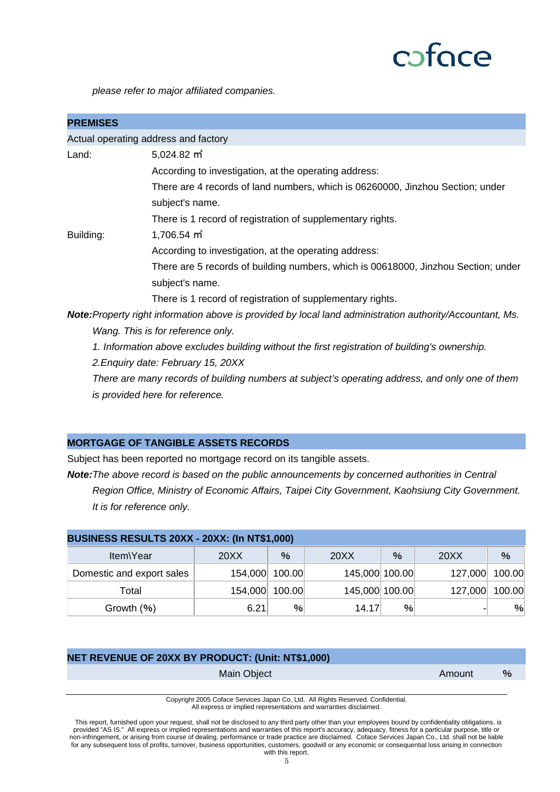

*please refer to major affiliated companies.*

| <b>PREMISES</b> |                                                                                                                  |
|-----------------|------------------------------------------------------------------------------------------------------------------|
|                 | Actual operating address and factory                                                                             |
| Land:           | 5,024.82 m <sup>2</sup>                                                                                          |
|                 | According to investigation, at the operating address:                                                            |
|                 | There are 4 records of land numbers, which is 06260000, Jinzhou Section; under                                   |
|                 | subject's name.                                                                                                  |
|                 | There is 1 record of registration of supplementary rights.                                                       |
| Building:       | 1,706.54 m <sup>2</sup>                                                                                          |
|                 | According to investigation, at the operating address:                                                            |
|                 | There are 5 records of building numbers, which is 00618000, Jinzhou Section; under                               |
|                 | subject's name.                                                                                                  |
|                 | There is 1 record of registration of supplementary rights.                                                       |
|                 | <b>Note:</b> Property right information above is provided by local land administration authority/Accountant, Ms. |
|                 | Wang. This is for reference only.                                                                                |

*1. Information above excludes building without the first registration of building's ownership.*

*2.Enquiry date: February 15, 20XX*

*There are many records of building numbers at subject's operating address, and only one of them is provided here for reference.*

#### **MORTGAGE OF TANGIBLE ASSETS RECORDS**

Subject has been reported no mortgage record on its tangible assets.

*Note: The above record is based on the public announcements by concerned authorities in Central Region Office, Ministry of Economic Affairs, Taipei City Government, Kaohsiung City Government. It is for reference only.*

| <b>BUSINESS RESULTS 20XX - 20XX: (In NT\$1,000)</b> |         |        |                |      |         |        |
|-----------------------------------------------------|---------|--------|----------------|------|---------|--------|
| Item\Year                                           | 20XX    | $\%$   | 20XX           | $\%$ | 20XX    | $\%$   |
| Domestic and export sales                           | 154,000 | 100.00 | 145,000 100.00 |      | 127,000 | 100.00 |
| Total                                               | 154,000 | 100.00 | 145,000 100.00 |      | 127,000 | 100.00 |
| Growth (%)                                          | 6.21    | %      | 14.17          | $\%$ |         | %      |

### **NET REVENUE OF 20XX BY PRODUCT: (Unit: NT\$1,000)**

Main Object **Amount 1986** Main Object **Amount** 1986

Copyright 2005 Coface Services Japan Co, Ltd. All Rights Reserved. Confidential. All express or implied representations and warranties disclaimed.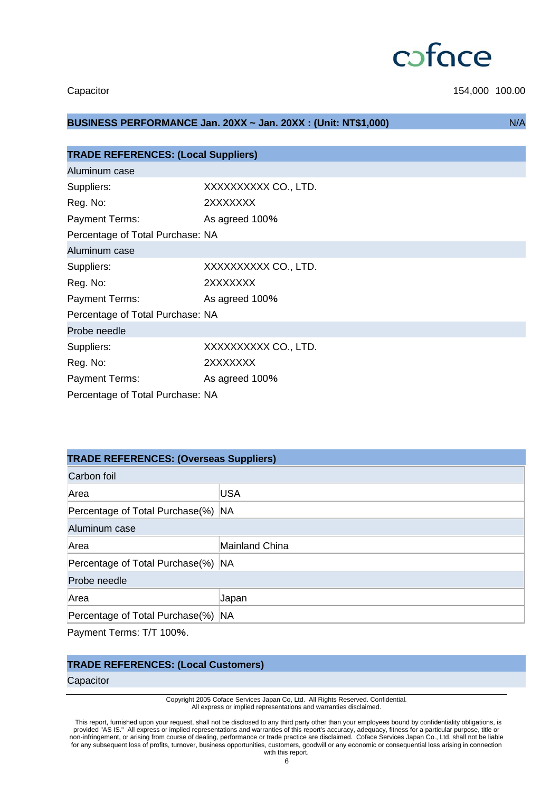Capacitor 154,000 100.00

#### **BUSINESS PERFORMANCE Jan. 20XX ~ Jan. 20XX : (Unit: NT\$1,000)** N/A N/A

| <b>TRADE REFERENCES: (Local Suppliers)</b> |                     |  |
|--------------------------------------------|---------------------|--|
| Aluminum case                              |                     |  |
| Suppliers:                                 | XXXXXXXXX CO., LTD. |  |
| Reg. No:                                   | 2XXXXXXX            |  |
| <b>Payment Terms:</b>                      | As agreed 100%      |  |
| Percentage of Total Purchase: NA           |                     |  |
| Aluminum case                              |                     |  |
| Suppliers:                                 | XXXXXXXXX CO., LTD. |  |
| Reg. No:                                   | 2XXXXXXX            |  |
| <b>Payment Terms:</b>                      | As agreed 100%      |  |
| Percentage of Total Purchase: NA           |                     |  |
| Probe needle                               |                     |  |
| Suppliers:                                 | XXXXXXXXX CO., LTD. |  |
| Reg. No:                                   | 2XXXXXXX            |  |
| <b>Payment Terms:</b>                      | As agreed 100%      |  |
| Percentage of Total Purchase: NA           |                     |  |

#### **TRADE REFERENCES: (Overseas Suppliers)**

| Carbon foil                        |                |  |  |
|------------------------------------|----------------|--|--|
| Area                               | USA            |  |  |
| Percentage of Total Purchase(%) NA |                |  |  |
| Aluminum case                      |                |  |  |
| Area                               | Mainland China |  |  |
| Percentage of Total Purchase(%) NA |                |  |  |
| Probe needle                       |                |  |  |
| Area                               | Japan          |  |  |
| Percentage of Total Purchase(%) NA |                |  |  |

Payment Terms: T/T 100%.

### **TRADE REFERENCES: (Local Customers)**

**Capacitor** 

Copyright 2005 Coface Services Japan Co, Ltd. All Rights Reserved. Confidential. All express or implied representations and warranties disclaimed.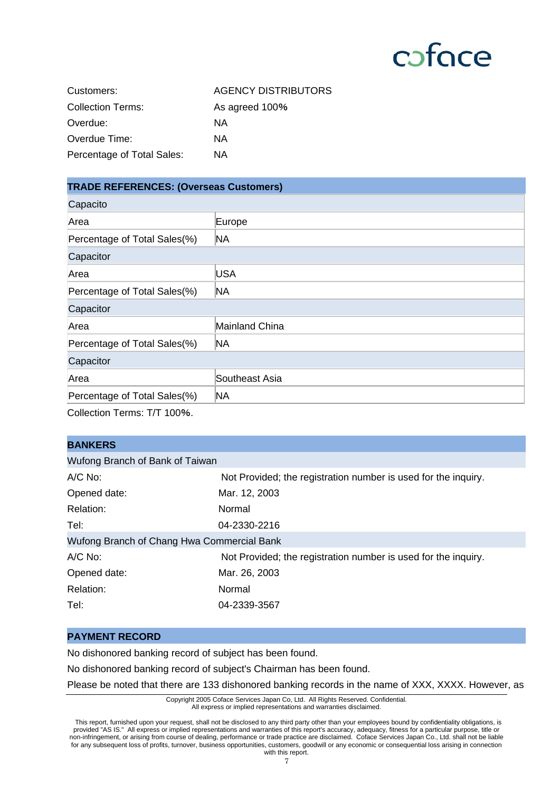| Customers:                 | AGENCY DISTRIBUTORS |
|----------------------------|---------------------|
| <b>Collection Terms:</b>   | As agreed 100%      |
| Overdue:                   | ΝA                  |
| Overdue Time:              | ΝA                  |
| Percentage of Total Sales: | ΝA                  |

### **TRADE REFERENCES: (Overseas Customers)**

| Capacito                     |                |
|------------------------------|----------------|
| Area                         | Europe         |
| Percentage of Total Sales(%) | <b>NA</b>      |
| Capacitor                    |                |
| Area                         | USA            |
| Percentage of Total Sales(%) | NA.            |
| Capacitor                    |                |
| Area                         | Mainland China |
| Percentage of Total Sales(%) | <b>NA</b>      |
| Capacitor                    |                |
| Area                         | Southeast Asia |
| Percentage of Total Sales(%) | <b>NA</b>      |
| _ _ _ _ _ _                  |                |

Collection Terms: T/T 100%.

| <b>BANKERS</b>                             |                                                                |
|--------------------------------------------|----------------------------------------------------------------|
| Wufong Branch of Bank of Taiwan            |                                                                |
| A/C No:                                    | Not Provided; the registration number is used for the inquiry. |
| Opened date:                               | Mar. 12, 2003                                                  |
| Relation:                                  | Normal                                                         |
| Tel:                                       | 04-2330-2216                                                   |
| Wufong Branch of Chang Hwa Commercial Bank |                                                                |
| $A/C$ No:                                  | Not Provided; the registration number is used for the inquiry. |
| Opened date:                               | Mar. 26, 2003                                                  |
| Relation:                                  | Normal                                                         |
| Tel:                                       | 04-2339-3567                                                   |

#### **PAYMENT RECORD**

No dishonored banking record of subject has been found.

No dishonored banking record of subject's Chairman has been found.

Please be noted that there are 133 dishonored banking records in the name of XXX, XXXX. However, as

Copyright 2005 Coface Services Japan Co, Ltd. All Rights Reserved. Confidential. All express or implied representations and warranties disclaimed.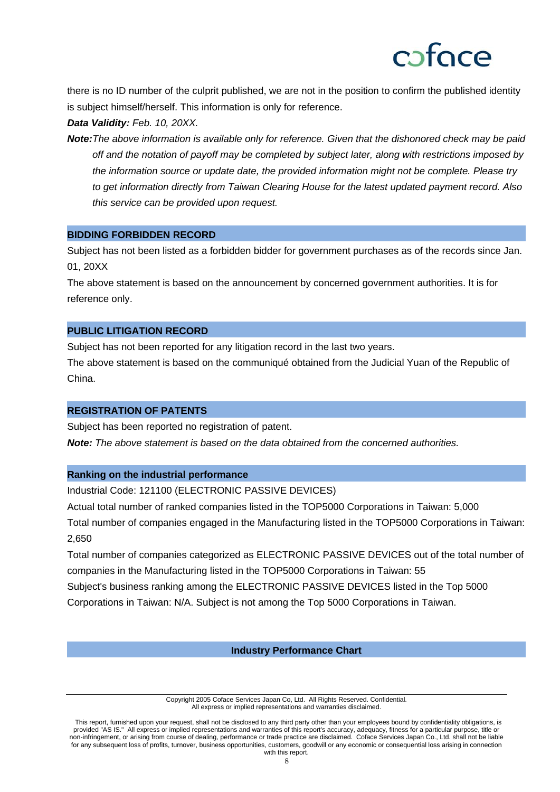there is no ID number of the culprit published, we are not in the position to confirm the published identity is subject himself/herself. This information is only for reference.

*Data Validity: Feb. 10, 20XX.*

*Note:The above information is available only for reference. Given that the dishonored check may be paid off and the notation of payoff may be completed by subject later, along with restrictions imposed by the information source or update date, the provided information might not be complete. Please try to get information directly from Taiwan Clearing House for the latest updated payment record. Also this service can be provided upon request.*

#### **BIDDING FORBIDDEN RECORD**

Subject has not been listed as a forbidden bidder for government purchases as of the records since Jan. 01, 20XX

The above statement is based on the announcement by concerned government authorities. It is for reference only.

#### **PUBLIC LITIGATION RECORD**

Subject has not been reported for any litigation record in the last two years.

The above statement is based on the communiqué obtained from the Judicial Yuan of the Republic of China.

#### **REGISTRATION OF PATENTS**

Subject has been reported no registration of patent.

*Note: The above statement is based on the data obtained from the concerned authorities.*

#### **Ranking on the industrial performance**

Industrial Code: 121100 (ELECTRONIC PASSIVE DEVICES)

Actual total number of ranked companies listed in the TOP5000 Corporations in Taiwan: 5,000

Total number of companies engaged in the Manufacturing listed in the TOP5000 Corporations in Taiwan: 2,650

Total number of companies categorized as ELECTRONIC PASSIVE DEVICES out of the total number of companies in the Manufacturing listed in the TOP5000 Corporations in Taiwan: 55 Subject's business ranking among the ELECTRONIC PASSIVE DEVICES listed in the Top 5000

Corporations in Taiwan: N/A. Subject is not among the Top 5000 Corporations in Taiwan.

**Industry Performance Chart**

Copyright 2005 Coface Services Japan Co, Ltd. All Rights Reserved. Confidential. All express or implied representations and warranties disclaimed.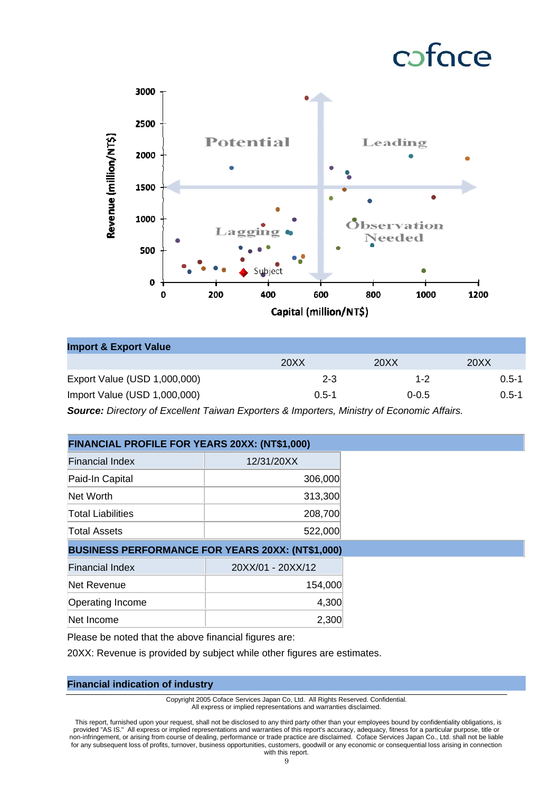

| <b>Import &amp; Export Value</b> |           |           |           |
|----------------------------------|-----------|-----------|-----------|
|                                  | 20XX      | 20XX      | 20XX      |
| Export Value (USD 1,000,000)     | $2 - 3$   | $1 - 2$   | $0.5 - 1$ |
| Import Value (USD 1,000,000)     | $0.5 - 1$ | $0 - 0.5$ | $0.5 - 1$ |

*Source: Directory of Excellent Taiwan Exporters & Importers, Ministry of Economic Affairs.*

| FINANCIAL PROFILE FOR YEARS 20XX: (NT\$1,000)           |                   |  |  |  |
|---------------------------------------------------------|-------------------|--|--|--|
| <b>Financial Index</b>                                  | 12/31/20XX        |  |  |  |
| Paid-In Capital                                         | 306,000           |  |  |  |
| Net Worth                                               | 313,300           |  |  |  |
| <b>Total Liabilities</b>                                | 208,700           |  |  |  |
| <b>Total Assets</b>                                     | 522,000           |  |  |  |
| <b>BUSINESS PERFORMANCE FOR YEARS 20XX: (NT\$1,000)</b> |                   |  |  |  |
| <b>Financial Index</b>                                  | 20XX/01 - 20XX/12 |  |  |  |
| Net Revenue                                             | 154,000           |  |  |  |
| Operating Income                                        | 4,300             |  |  |  |
| Net Income                                              | 2,300             |  |  |  |
| $\blacksquare$                                          |                   |  |  |  |

Please be noted that the above financial figures are:

20XX: Revenue is provided by subject while other figures are estimates.

#### **Financial indication of industry**

Copyright 2005 Coface Services Japan Co, Ltd. All Rights Reserved. Confidential. All express or implied representations and warranties disclaimed.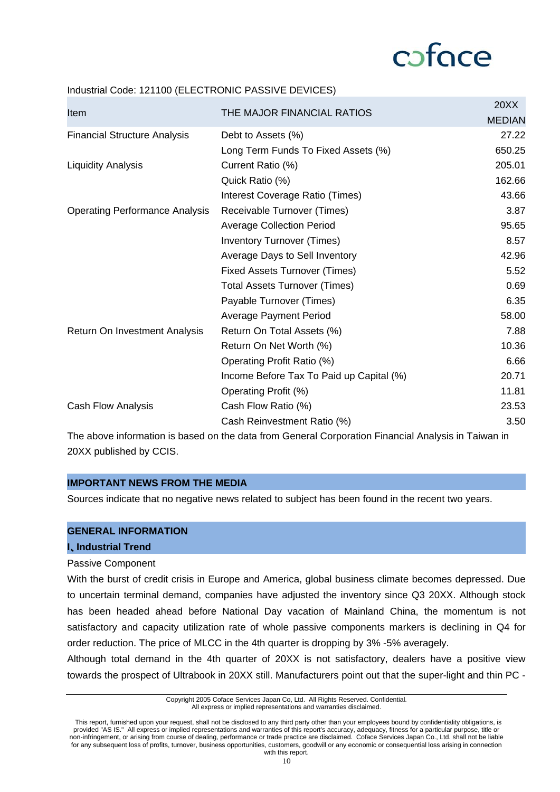#### Industrial Code: 121100 (ELECTRONIC PASSIVE DEVICES)

|                                       |                                          | 20XX          |
|---------------------------------------|------------------------------------------|---------------|
| Item                                  | THE MAJOR FINANCIAL RATIOS               | <b>MEDIAN</b> |
| <b>Financial Structure Analysis</b>   | Debt to Assets (%)                       | 27.22         |
|                                       | Long Term Funds To Fixed Assets (%)      | 650.25        |
| <b>Liquidity Analysis</b>             | Current Ratio (%)                        | 205.01        |
|                                       | Quick Ratio (%)                          | 162.66        |
|                                       | Interest Coverage Ratio (Times)          | 43.66         |
| <b>Operating Performance Analysis</b> | Receivable Turnover (Times)              | 3.87          |
|                                       | <b>Average Collection Period</b>         | 95.65         |
|                                       | <b>Inventory Turnover (Times)</b>        | 8.57          |
|                                       | Average Days to Sell Inventory           | 42.96         |
|                                       | Fixed Assets Turnover (Times)            | 5.52          |
|                                       | <b>Total Assets Turnover (Times)</b>     | 0.69          |
|                                       | Payable Turnover (Times)                 | 6.35          |
|                                       | <b>Average Payment Period</b>            | 58.00         |
| Return On Investment Analysis         | Return On Total Assets (%)               | 7.88          |
|                                       | Return On Net Worth (%)                  | 10.36         |
|                                       | Operating Profit Ratio (%)               | 6.66          |
|                                       | Income Before Tax To Paid up Capital (%) | 20.71         |
|                                       | Operating Profit (%)                     | 11.81         |
| Cash Flow Analysis                    | Cash Flow Ratio (%)                      | 23.53         |
|                                       | Cash Reinvestment Ratio (%)              | 3.50          |

The above information is based on the data from General Corporation Financial Analysis in Taiwan in 20XX published by CCIS.

#### **IMPORTANT NEWS FROM THE MEDIA**

Sources indicate that no negative news related to subject has been found in the recent two years.

#### **GENERAL INFORMATION**

#### **I**、**Industrial Trend**

#### Passive Component

With the burst of credit crisis in Europe and America, global business climate becomes depressed. Due to uncertain terminal demand, companies have adjusted the inventory since Q3 20XX. Although stock has been headed ahead before National Day vacation of Mainland China, the momentum is not satisfactory and capacity utilization rate of whole passive components markers is declining in Q4 for order reduction. The price of MLCC in the 4th quarter is dropping by 3% -5% averagely.

Although total demand in the 4th quarter of 20XX is not satisfactory, dealers have a positive view towards the prospect of Ultrabook in 20XX still. Manufacturers point out that the super-light and thin PC -

Copyright 2005 Coface Services Japan Co, Ltd. All Rights Reserved. Confidential. All express or implied representations and warranties disclaimed.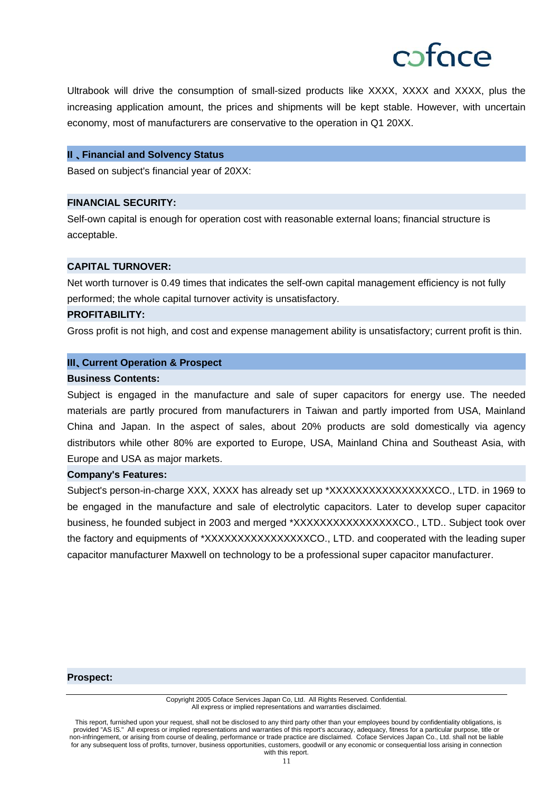Ultrabook will drive the consumption of small-sized products like XXXX, XXXX and XXXX, plus the increasing application amount, the prices and shipments will be kept stable. However, with uncertain economy, most of manufacturers are conservative to the operation in Q1 20XX.

#### **II** 、**Financial and Solvency Status**

Based on subject's financial year of 20XX:

#### **FINANCIAL SECURITY:**

Self-own capital is enough for operation cost with reasonable external loans; financial structure is acceptable.

#### **CAPITAL TURNOVER:**

Net worth turnover is 0.49 times that indicates the self-own capital management efficiency is not fully performed; the whole capital turnover activity is unsatisfactory.

#### **PROFITABILITY:**

Gross profit is not high, and cost and expense management ability is unsatisfactory; current profit is thin.

#### **III**、**Current Operation & Prospect**

#### **Business Contents:**

Subject is engaged in the manufacture and sale of super capacitors for energy use. The needed materials are partly procured from manufacturers in Taiwan and partly imported from USA, Mainland China and Japan. In the aspect of sales, about 20% products are sold domestically via agency distributors while other 80% are exported to Europe, USA, Mainland China and Southeast Asia, with Europe and USA as major markets.

#### **Company's Features:**

Subject's person-in-charge XXX, XXXX has already set up \*XXXXXXXXXXXXXXXXCO., LTD. in 1969 to be engaged in the manufacture and sale of electrolytic capacitors. Later to develop super capacitor business, he founded subject in 2003 and merged \*XXXXXXXXXXXXXXXXCO., LTD.. Subject took over the factory and equipments of \*XXXXXXXXXXXXXXXXCO., LTD. and cooperated with the leading super capacitor manufacturer Maxwell on technology to be a professional super capacitor manufacturer.

#### **Prospect:**

Copyright 2005 Coface Services Japan Co, Ltd. All Rights Reserved. Confidential. All express or implied representations and warranties disclaimed.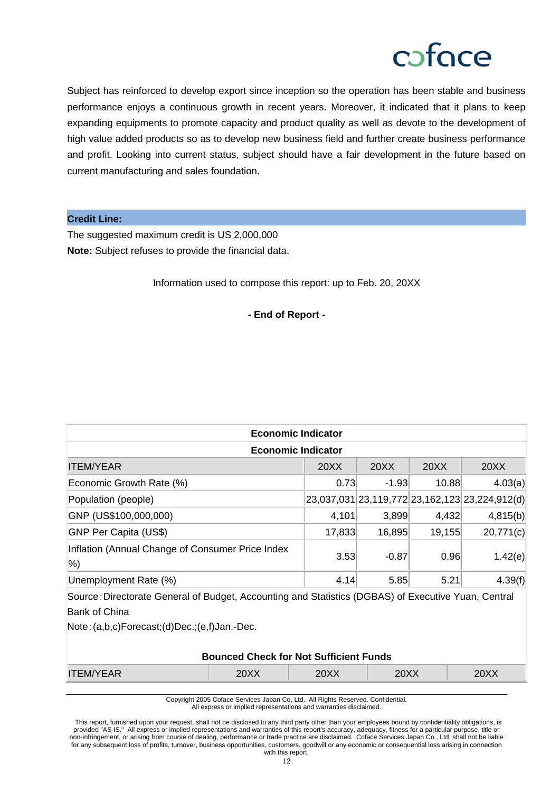

Subject has reinforced to develop export since inception so the operation has been stable and business performance enjoys a continuous growth in recent years. Moreover, it indicated that it plans to keep expanding equipments to promote capacity and product quality as well as devote to the development of high value added products so as to develop new business field and further create business performance and profit. Looking into current status, subject should have a fair development in the future based on current manufacturing and sales foundation.

**Credit Line:**

The suggested maximum credit is US 2,000,000 **Note:** Subject refuses to provide the financial data.

Information used to compose this report: up to Feb. 20, 20XX

**- End of Report -**

| <b>Economic Indicator</b>                                                                           |        |         |        |                                                |  |
|-----------------------------------------------------------------------------------------------------|--------|---------|--------|------------------------------------------------|--|
| <b>Economic Indicator</b>                                                                           |        |         |        |                                                |  |
| <b>ITEM/YEAR</b>                                                                                    | 20XX   | 20XX    | 20XX   | 20XX                                           |  |
| Economic Growth Rate (%)                                                                            | 0.73   | $-1.93$ | 10.88  | 4.03(a)                                        |  |
| Population (people)                                                                                 |        |         |        | 23,037,031 23,119,772 23,162,123 23,224,912(d) |  |
| GNP (US\$100,000,000)                                                                               | 4,101  | 3,899   | 4,432  | 4,815(b)                                       |  |
| <b>GNP Per Capita (US\$)</b>                                                                        | 17,833 | 16,895  | 19,155 | 20,771(c)                                      |  |
| Inflation (Annual Change of Consumer Price Index<br>$\%$                                            | 3.53   | $-0.87$ | 0.96   | 1.42(e)                                        |  |
| Unemployment Rate (%)                                                                               | 4.14   | 5.85    | 5.21   | 4.39(f)                                        |  |
| Source: Directorate General of Budget, Accounting and Statistics (DGBAS) of Executive Yuan, Central |        |         |        |                                                |  |
| <b>Bank of China</b>                                                                                |        |         |        |                                                |  |
| Note: (a,b,c)Forecast; (d)Dec.; (e,f)Jan.-Dec.                                                      |        |         |        |                                                |  |

| <b>Bounced Check for Not Sufficient Funds</b> |      |      |      |      |  |
|-----------------------------------------------|------|------|------|------|--|
| <b>ITEM/YEAR</b>                              | 20XX | 20XX | 20XX | 20XX |  |

Copyright 2005 Coface Services Japan Co, Ltd. All Rights Reserved. Confidential.

All express or implied representations and warranties disclaimed.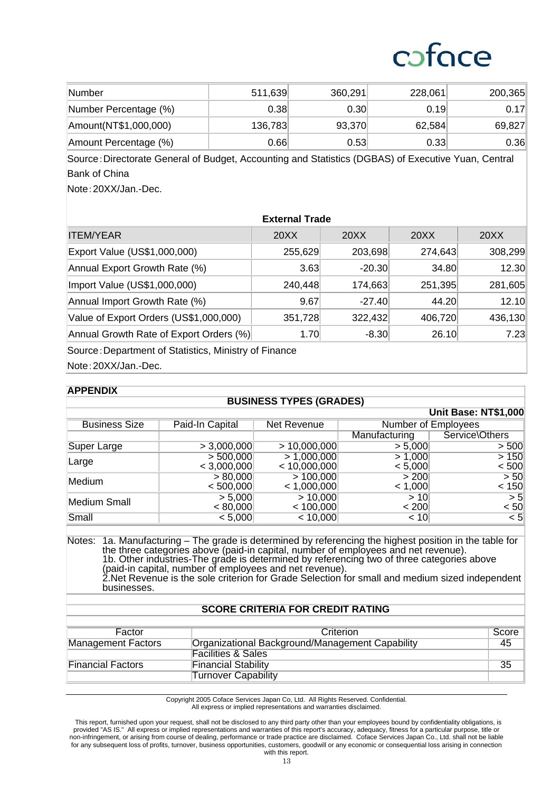# caface

| ∥Number               | 511,639     | 360,291 | 228,061 | 200,365 |
|-----------------------|-------------|---------|---------|---------|
| Number Percentage (%) | 0.38        | 0.30    | 0.19    | 0.17    |
| Amount(NT\$1,000,000) | 136,783     | 93,370  | 62,584  | 69,827  |
| Amount Percentage (%) | $0.66\vert$ | 0.53    | 0.33    | 0.36    |

Source:Directorate General of Budget, Accounting and Statistics (DGBAS) of Executive Yuan, Central Bank of China

Note:20XX/Jan.-Dec.

| <b>External Trade</b>                   |         |          |         |         |  |
|-----------------------------------------|---------|----------|---------|---------|--|
| <b>ITEM/YEAR</b>                        | 20XX    | 20XX     | 20XX    | 20XX    |  |
| Export Value (US\$1,000,000)            | 255,629 | 203,698  | 274,643 | 308,299 |  |
| Annual Export Growth Rate (%)           | 3.63    | $-20.30$ | 34.80   | 12.30   |  |
| Import Value (US\$1,000,000)            | 240,448 | 174,663  | 251,395 | 281,605 |  |
| Annual Import Growth Rate (%)           | 9.67    | $-27.40$ | 44.20   | 12.10   |  |
| Value of Export Orders (US\$1,000,000)  | 351,728 | 322,432  | 406,720 | 436,130 |  |
| Annual Growth Rate of Export Orders (%) | 1.70    | $-8.30$  | 26.10   | 7.23    |  |
|                                         |         |          |         |         |  |

Source:Department of Statistics, Ministry of Finance Note:20XX/Jan.-Dec.

#### **APPENDIX**

 $\overline{\phantom{a}}$ 

#### **BUSINESS TYPES (GRADES)**

|                      |                 |                    |                            | <b>Unit Base: NT\$1,000</b> |
|----------------------|-----------------|--------------------|----------------------------|-----------------------------|
| <b>Business Size</b> | Paid-In Capital | <b>Net Revenue</b> | <b>Number of Employees</b> |                             |
|                      |                 |                    | Manufacturing              | Service\Others              |
| Super Large          | > 3,000,000     | > 10,000,000       | > 5,000                    | > 500                       |
| Large                | > 500,000       | > 1,000,000        | > 1,000                    | >150                        |
|                      | < 3,000,000     | < 10,000,000       | < 5,000                    | < 500                       |
| Medium               | > 80,000        | > 100,000          | > 200                      | > 50                        |
|                      | < 500,000       | < 1,000,000        | < 1,000                    | < 150                       |
| Medium Small         | > 5,000         | > 10,000           | > 10                       | > 5                         |
|                      | < 80,000        | < 100,000          | < 200                      | < 50                        |
| Small                | < 5,000         | < 10,000           | < 10                       | < 5                         |

Notes: 1a. Manufacturing – The grade is determined by referencing the highest position in the table for the three categories above (paid-in capital, number of employees and net revenue). The time categories above (paid-in capital, national or cripic) cost and not revenue).<br>
1b. Other industries-The grade is determined by referencing two of three categories above<br>
19. Other capital, number of employees and businesses.

#### **SCORE CRITERIA FOR CREDIT RATING**

| Factor                    | Criterion                                       | Score |
|---------------------------|-------------------------------------------------|-------|
| <b>Management Factors</b> | Organizational Background/Management Capability | 45    |
|                           | <b>Facilities &amp; Sales</b>                   |       |
| Financial Factors         | <b>Financial Stability</b>                      | 35    |
|                           | <b>Turnover Capability</b>                      |       |

Copyright 2005 Coface Services Japan Co, Ltd. All Rights Reserved. Confidential.

All express or implied representations and warranties disclaimed.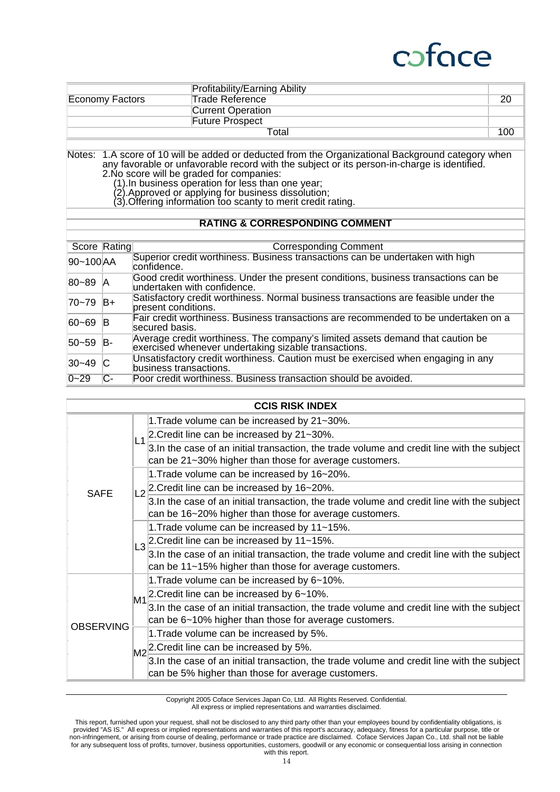|                 | Profitability/Earning Ability |     |
|-----------------|-------------------------------|-----|
| Economy Factors | Trade Reference               |     |
|                 | <b>Current Operation</b>      |     |
|                 | <b>Future Prospect</b>        |     |
|                 | Total                         | 100 |

Notes: 1.A score of 10 will be added or deducted from the Organizational Background category when any favorable or unfavorable record with the subject or its person-in-charge is identified.

2.No score will be graded for companies:

 $\overline{\phantom{a}}$ 

(1).In business operation for less than one year;

(2).Approved or applying for business dissolution; (3).Offering information too scanty to merit credit rating.

#### **RATING & CORRESPONDING COMMENT**

| Score Rating  |     | <b>Corresponding Comment</b>                                                                                                        |
|---------------|-----|-------------------------------------------------------------------------------------------------------------------------------------|
| 90~100 AA     |     | Superior credit worthiness. Business transactions can be undertaken with high<br>confidence.                                        |
| 80~89         | ΙA  | Good credit worthiness. Under the present conditions, business transactions can be<br>undertaken with confidence.                   |
| 70~79         | ∣B+ | Satisfactory credit worthiness. Normal business transactions are feasible under the<br>present conditions.                          |
| $ 60 - 69 $ B |     | Fair credit worthiness. Business transactions are recommended to be undertaken on a<br>lsecured basis.                              |
| 50~59         | -IB | Average credit worthiness. The company's limited assets demand that caution be exercised whenever undertaking sizable transactions. |
| $ 30 - 49 $   | IC. | Unsatisfactory credit worthiness. Caution must be exercised when engaging in any<br>business transactions.                          |
| $0 - 29$      | IC- | Poor credit worthiness. Business transaction should be avoided.                                                                     |

| <b>CCIS RISK INDEX</b> |  |                                                                                             |  |
|------------------------|--|---------------------------------------------------------------------------------------------|--|
| <b>SAFE</b>            |  | 1. Trade volume can be increased by 21~30%.                                                 |  |
|                        |  | 2. Credit line can be increased by 21~30%.                                                  |  |
|                        |  | 3.In the case of an initial transaction, the trade volume and credit line with the subject  |  |
|                        |  | can be 21~30% higher than those for average customers.                                      |  |
|                        |  | 1. Trade volume can be increased by 16~20%.                                                 |  |
|                        |  | L <sub>2</sub> 2. Credit line can be increased by 16~20%.                                   |  |
|                        |  | 3. In the case of an initial transaction, the trade volume and credit line with the subject |  |
|                        |  | can be 16~20% higher than those for average customers.                                      |  |
|                        |  | 1. Trade volume can be increased by 11~15%.                                                 |  |
|                        |  | L3 <sup>2</sup> . Credit line can be increased by 11~15%.                                   |  |
|                        |  | 3.In the case of an initial transaction, the trade volume and credit line with the subject  |  |
|                        |  | can be 11~15% higher than those for average customers.                                      |  |
| <b>OBSERVING</b>       |  | 1. Trade volume can be increased by 6~10%.                                                  |  |
|                        |  | M1 <sup>2</sup> .Credit line can be increased by 6~10%.                                     |  |
|                        |  | 3.In the case of an initial transaction, the trade volume and credit line with the subject  |  |
|                        |  | can be 6~10% higher than those for average customers.                                       |  |
|                        |  | 1. Trade volume can be increased by 5%.                                                     |  |
|                        |  | M <sub>2</sub> <sup>2.</sup> Credit line can be increased by 5%.                            |  |
|                        |  | 3.In the case of an initial transaction, the trade volume and credit line with the subject  |  |
|                        |  | can be 5% higher than those for average customers.                                          |  |

Copyright 2005 Coface Services Japan Co, Ltd. All Rights Reserved. Confidential.

All express or implied representations and warranties disclaimed.

This report, furnished upon your request, shall not be disclosed to any third party other than your employees bound by confidentiality obligations, is provided "AS IS." All express or implied representations and warranties of this report's accuracy, adequacy, fitness for a particular purpose, title or non-infringement, or arising from course of dealing, performance or trade practice are disclaimed. Coface Services Japan Co., Ltd. shall not be liable for any subsequent loss of profits, turnover, business opportunities, customers, goodwill or any economic or consequential loss arising in connection with this report.